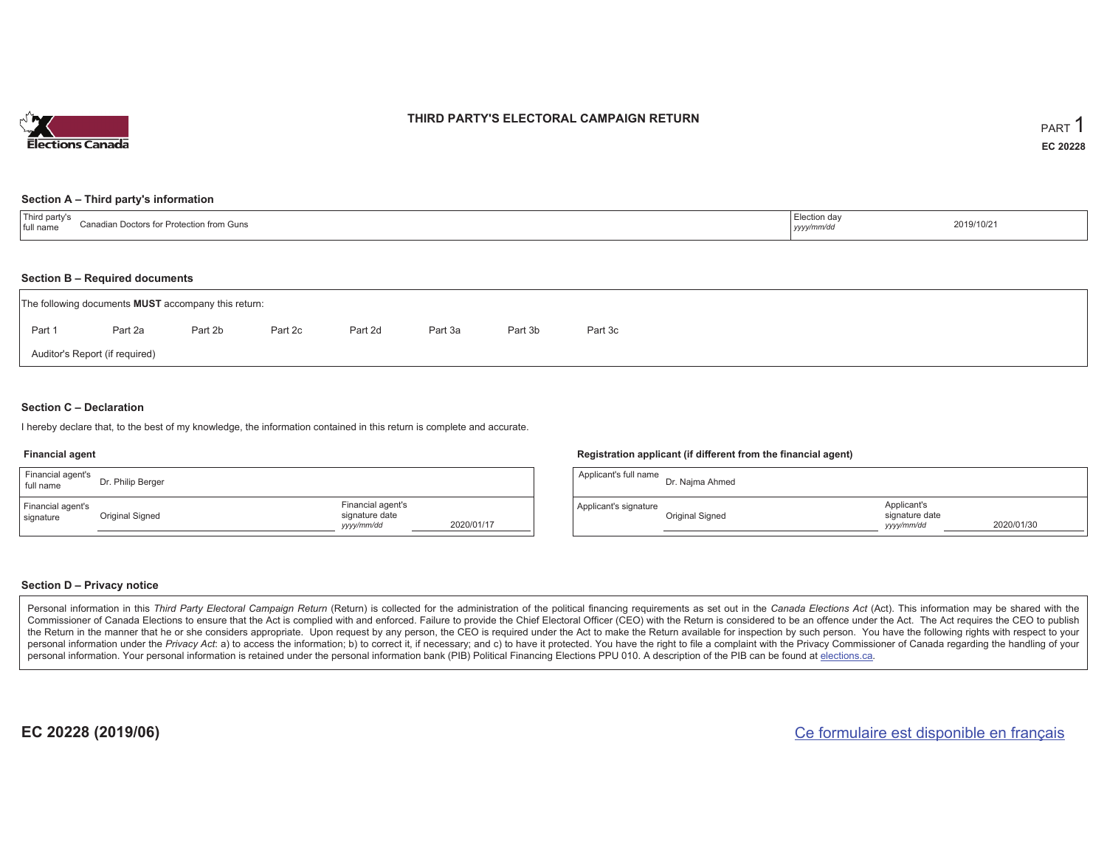

#### **THIRD PARTY'S ELECTORAL CAMPAIGN RETURN**

#### **Section A – Third party's information**

| 上下に しょう<br>√d nar<br>Conodio.<br>್ಷ, agian Doctors for Prote∩+'್_<br>Protection from Guns<br>full<br>nam<br>,,,,,,,, | …ution dav<br>yyyymm/aa | 2019/10/21 |
|----------------------------------------------------------------------------------------------------------------------|-------------------------|------------|
|----------------------------------------------------------------------------------------------------------------------|-------------------------|------------|

#### **Section B – Required documents**

|        | The following documents <b>MUST</b> accompany this return: |         |         |         |         |         |         |
|--------|------------------------------------------------------------|---------|---------|---------|---------|---------|---------|
| Part 1 | Part 2a                                                    | Part 2b | Part 2c | Part 2d | Part 3a | Part 3b | Part 3c |
|        | Auditor's Report (if required)                             |         |         |         |         |         |         |

#### **Section C – Declaration**

I hereby declare that, to the best of my knowledge, the information contained in this return is complete and accurate.

#### **Financial agent**

| Financial agent's<br>full name | Dr. Philip Berger |                                                   |            | $\overline{A}$ |
|--------------------------------|-------------------|---------------------------------------------------|------------|----------------|
| Financial agent's<br>signature | Original Signed   | Financial agent's<br>signature date<br>yyyy/mm/dd | 2020/01/17 | A <sub>l</sub> |

#### **Registration applicant (if different from the financial agent)**

| Applicant's full name | Dr. Najma Ahmed |                                             |            |
|-----------------------|-----------------|---------------------------------------------|------------|
| Applicant's signature | Original Signed | Applicant's<br>signature date<br>yyyy/mm/dd | 2020/01/30 |

#### **Section D – Privacy notice**

Personal information in this Third Party Electoral Campaign Return (Return) is collected for the administration of the political financing requirements as set out in the Canada Elections Act (Act). This information may be Commissioner of Canada Elections to ensure that the Act is complied with and enforced. Failure to provide the Chief Electoral Officer (CEO) with the Return is considered to be an offence under the Act. The Act requires the the Return in the manner that he or she considers appropriate. Upon request by any person, the CEO is required under the Act to make the Return available for inspection by such person. You have the following rights with re personal information under the Privacy Act: a) to access the information; b) to correct it, if necessary; and c) to have it protected. You have the right to file a complaint with the Privacy Commissioner of Canada regardin personal information. Your personal information is retained under the personal information bank (PIB) Political Financing Elections PPU 010. A description of the PIB can be found at elections.ca.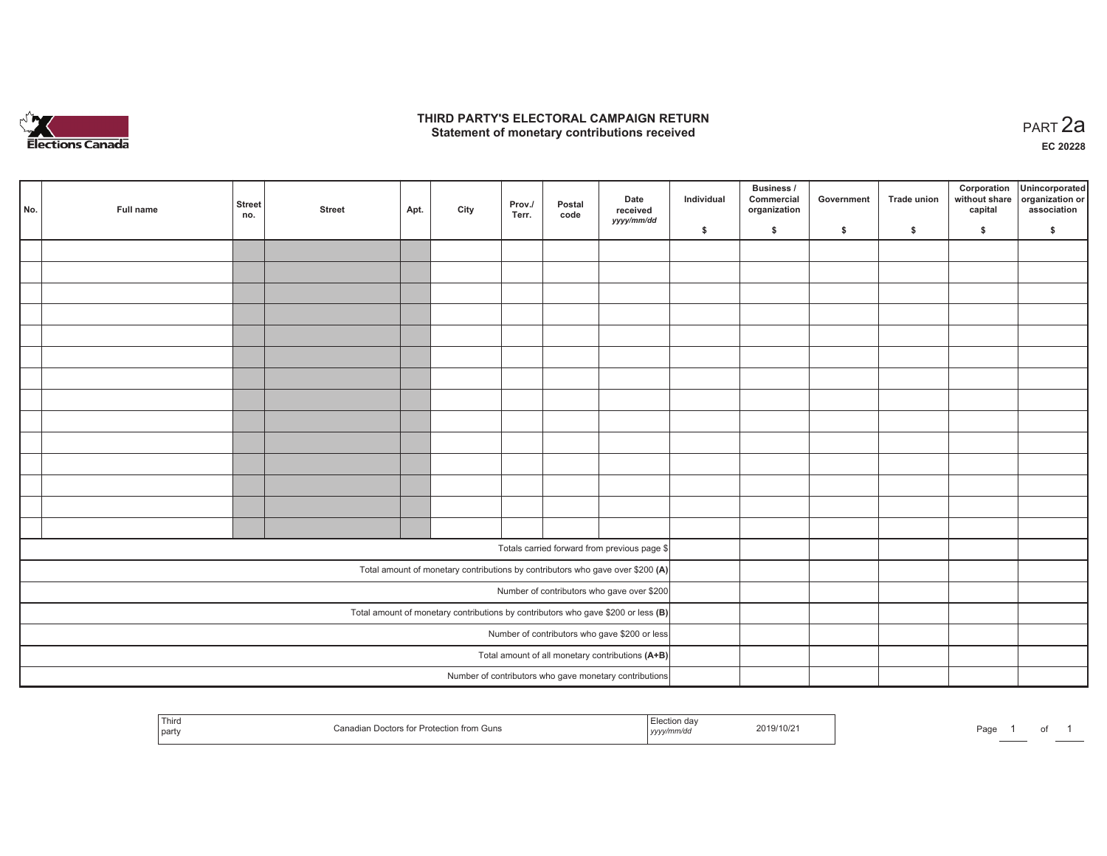

### **THIRD PARTY'S ELECTORAL CAMPAIGN RETURN HIRD PARTY'S ELECTORAL CAMPAIGN RETURN<br>Statement of monetary contributions received PART 2a**

**EC 20228**

| No. |                                                                                     | Full name | <b>Street</b><br>no. | <b>Street</b> | Apt. | City | Prov./<br>Terr. | Postal<br>code | Date<br>received<br>yyyy/mm/dd                         | Individual | <b>Business /</b><br>Commercial<br>organization | Government | Trade union | Corporation<br>capital | Unincorporated<br>without share organization or<br>association |
|-----|-------------------------------------------------------------------------------------|-----------|----------------------|---------------|------|------|-----------------|----------------|--------------------------------------------------------|------------|-------------------------------------------------|------------|-------------|------------------------|----------------------------------------------------------------|
|     |                                                                                     |           |                      |               |      |      |                 |                |                                                        | \$         | \$                                              | \$         | \$          | \$                     | \$                                                             |
|     |                                                                                     |           |                      |               |      |      |                 |                |                                                        |            |                                                 |            |             |                        |                                                                |
|     |                                                                                     |           |                      |               |      |      |                 |                |                                                        |            |                                                 |            |             |                        |                                                                |
|     |                                                                                     |           |                      |               |      |      |                 |                |                                                        |            |                                                 |            |             |                        |                                                                |
|     |                                                                                     |           |                      |               |      |      |                 |                |                                                        |            |                                                 |            |             |                        |                                                                |
|     |                                                                                     |           |                      |               |      |      |                 |                |                                                        |            |                                                 |            |             |                        |                                                                |
|     |                                                                                     |           |                      |               |      |      |                 |                |                                                        |            |                                                 |            |             |                        |                                                                |
|     |                                                                                     |           |                      |               |      |      |                 |                |                                                        |            |                                                 |            |             |                        |                                                                |
|     |                                                                                     |           |                      |               |      |      |                 |                |                                                        |            |                                                 |            |             |                        |                                                                |
|     |                                                                                     |           |                      |               |      |      |                 |                |                                                        |            |                                                 |            |             |                        |                                                                |
|     |                                                                                     |           |                      |               |      |      |                 |                |                                                        |            |                                                 |            |             |                        |                                                                |
|     |                                                                                     |           |                      |               |      |      |                 |                |                                                        |            |                                                 |            |             |                        |                                                                |
|     |                                                                                     |           |                      |               |      |      |                 |                |                                                        |            |                                                 |            |             |                        |                                                                |
|     |                                                                                     |           |                      |               |      |      |                 |                |                                                        |            |                                                 |            |             |                        |                                                                |
|     |                                                                                     |           |                      |               |      |      |                 |                |                                                        |            |                                                 |            |             |                        |                                                                |
|     |                                                                                     |           |                      |               |      |      |                 |                |                                                        |            |                                                 |            |             |                        |                                                                |
|     |                                                                                     |           |                      |               |      |      |                 |                | Totals carried forward from previous page \$           |            |                                                 |            |             |                        |                                                                |
|     | Total amount of monetary contributions by contributors who gave over \$200 (A)      |           |                      |               |      |      |                 |                |                                                        |            |                                                 |            |             |                        |                                                                |
|     | Number of contributors who gave over \$200                                          |           |                      |               |      |      |                 |                |                                                        |            |                                                 |            |             |                        |                                                                |
|     | Total amount of monetary contributions by contributors who gave \$200 or less $(B)$ |           |                      |               |      |      |                 |                |                                                        |            |                                                 |            |             |                        |                                                                |
|     | Number of contributors who gave \$200 or less                                       |           |                      |               |      |      |                 |                |                                                        |            |                                                 |            |             |                        |                                                                |
|     | Total amount of all monetary contributions (A+B)                                    |           |                      |               |      |      |                 |                |                                                        |            |                                                 |            |             |                        |                                                                |
|     |                                                                                     |           |                      |               |      |      |                 |                | Number of contributors who gave monetary contributions |            |                                                 |            |             |                        |                                                                |

| Third<br>Protection<br>$\Gamma$ $\sim$ $\sim$ $\sim$ $\sim$<br>  party | <br>≧ from Guns<br>$\sim$<br>,,,,, | 2019/10/21 | Page |  |  |  |
|------------------------------------------------------------------------|------------------------------------|------------|------|--|--|--|
|------------------------------------------------------------------------|------------------------------------|------------|------|--|--|--|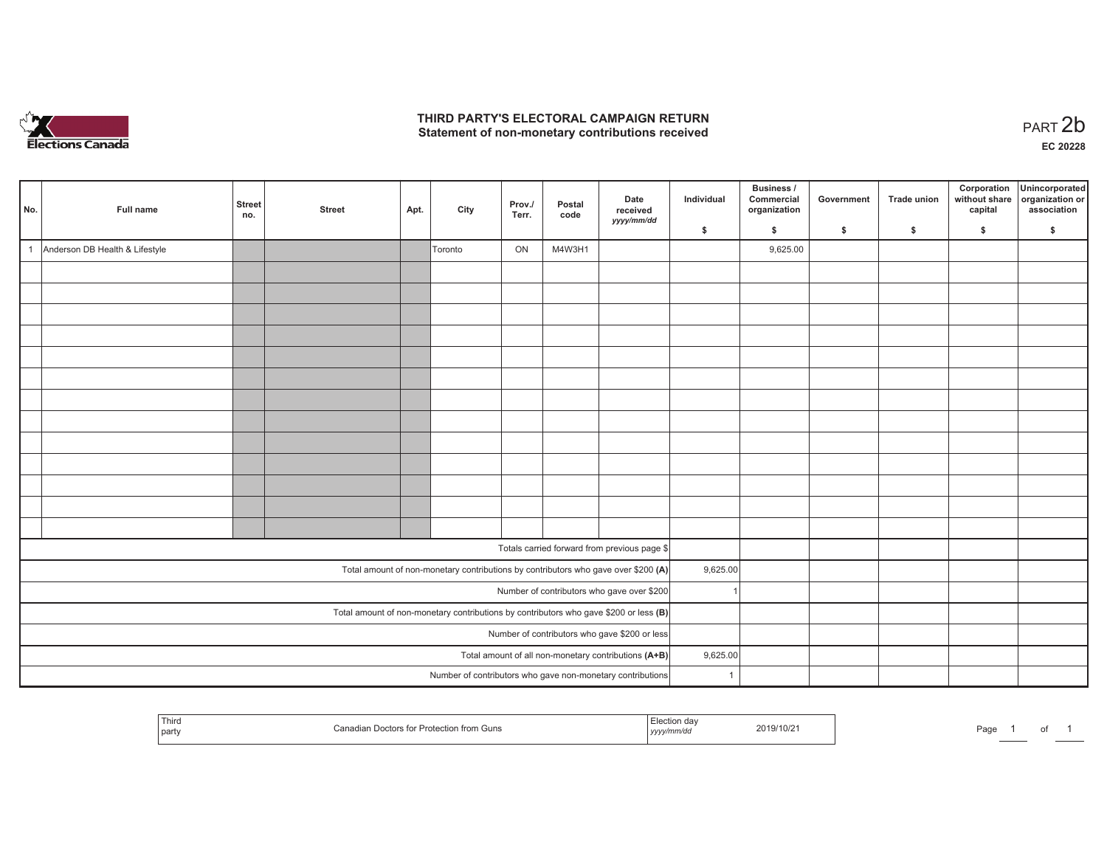

## **THIRD PARTY'S ELECTORAL CAMPAIGN RETURN**  THIRD PARTY'S ELECTORAL CAMPAIGN RETURN<br>Statement of non-monetary contributions received<br> **PART 2b**

| No. | Full name                      | <b>Street</b><br>no. | <b>Street</b> | Apt. | City    | Prov./<br>Terr. | Postal<br>code | Date<br>received<br>yyyy/mm/dd                                                        | Individual     | Business /<br>Commercial<br>organization | Government | <b>Trade union</b> | Corporation<br>without share<br>capital | Unincorporated<br>organization or<br>association |
|-----|--------------------------------|----------------------|---------------|------|---------|-----------------|----------------|---------------------------------------------------------------------------------------|----------------|------------------------------------------|------------|--------------------|-----------------------------------------|--------------------------------------------------|
|     |                                |                      |               |      |         |                 |                |                                                                                       | \$             | \$                                       | \$         | $\mathbf{s}$       | \$                                      | \$                                               |
|     | Anderson DB Health & Lifestyle |                      |               |      | Toronto | ON              | M4W3H1         |                                                                                       |                | 9,625.00                                 |            |                    |                                         |                                                  |
|     |                                |                      |               |      |         |                 |                |                                                                                       |                |                                          |            |                    |                                         |                                                  |
|     |                                |                      |               |      |         |                 |                |                                                                                       |                |                                          |            |                    |                                         |                                                  |
|     |                                |                      |               |      |         |                 |                |                                                                                       |                |                                          |            |                    |                                         |                                                  |
|     |                                |                      |               |      |         |                 |                |                                                                                       |                |                                          |            |                    |                                         |                                                  |
|     |                                |                      |               |      |         |                 |                |                                                                                       |                |                                          |            |                    |                                         |                                                  |
|     |                                |                      |               |      |         |                 |                |                                                                                       |                |                                          |            |                    |                                         |                                                  |
|     |                                |                      |               |      |         |                 |                |                                                                                       |                |                                          |            |                    |                                         |                                                  |
|     |                                |                      |               |      |         |                 |                |                                                                                       |                |                                          |            |                    |                                         |                                                  |
|     |                                |                      |               |      |         |                 |                |                                                                                       |                |                                          |            |                    |                                         |                                                  |
|     |                                |                      |               |      |         |                 |                |                                                                                       |                |                                          |            |                    |                                         |                                                  |
|     |                                |                      |               |      |         |                 |                |                                                                                       |                |                                          |            |                    |                                         |                                                  |
|     |                                |                      |               |      |         |                 |                |                                                                                       |                |                                          |            |                    |                                         |                                                  |
|     |                                |                      |               |      |         |                 |                |                                                                                       |                |                                          |            |                    |                                         |                                                  |
|     |                                |                      |               |      |         |                 |                | Totals carried forward from previous page \$                                          |                |                                          |            |                    |                                         |                                                  |
|     |                                |                      |               |      |         |                 |                | Total amount of non-monetary contributions by contributors who gave over \$200 (A)    | 9,625.00       |                                          |            |                    |                                         |                                                  |
|     |                                |                      |               |      |         |                 |                | Number of contributors who gave over \$200                                            |                |                                          |            |                    |                                         |                                                  |
|     |                                |                      |               |      |         |                 |                | Total amount of non-monetary contributions by contributors who gave \$200 or less (B) |                |                                          |            |                    |                                         |                                                  |
|     |                                |                      |               |      |         |                 |                | Number of contributors who gave \$200 or less                                         |                |                                          |            |                    |                                         |                                                  |
|     |                                |                      |               |      |         |                 |                | Total amount of all non-monetary contributions (A+B)                                  | 9,625.00       |                                          |            |                    |                                         |                                                  |
|     |                                |                      |               |      |         |                 |                | Number of contributors who gave non-monetary contributions                            | $\overline{1}$ |                                          |            |                    |                                         |                                                  |

|  | Third<br>  party | * Protection from Guns | a dav<br>,,,,,,,,,,,,,,,<br>17772<br>$-11.1 - 11.1 - 11.1 - 11.1 - 11.1 - 11.1 - 11.1 - 11.1 - 11.1 - 11.1 - 11.1 - 11.1 - 11.1 - 11.1 - 11.1 - 11.1 - 11.1 - 11.1 - 11.1 - 11.1 - 11.1 - 11.1 - 11.1 - 11.1 - 11.1 - 11.1 - 11.1 - 11.1 - 11.1 - 11.1 - 11.1 - 11.1 - 11.1 - 11.1 - 11.1 - 11.1 - 11.$ | 2019/10/2 | Page |  |  |  |
|--|------------------|------------------------|---------------------------------------------------------------------------------------------------------------------------------------------------------------------------------------------------------------------------------------------------------------------------------------------------------|-----------|------|--|--|--|
|--|------------------|------------------------|---------------------------------------------------------------------------------------------------------------------------------------------------------------------------------------------------------------------------------------------------------------------------------------------------------|-----------|------|--|--|--|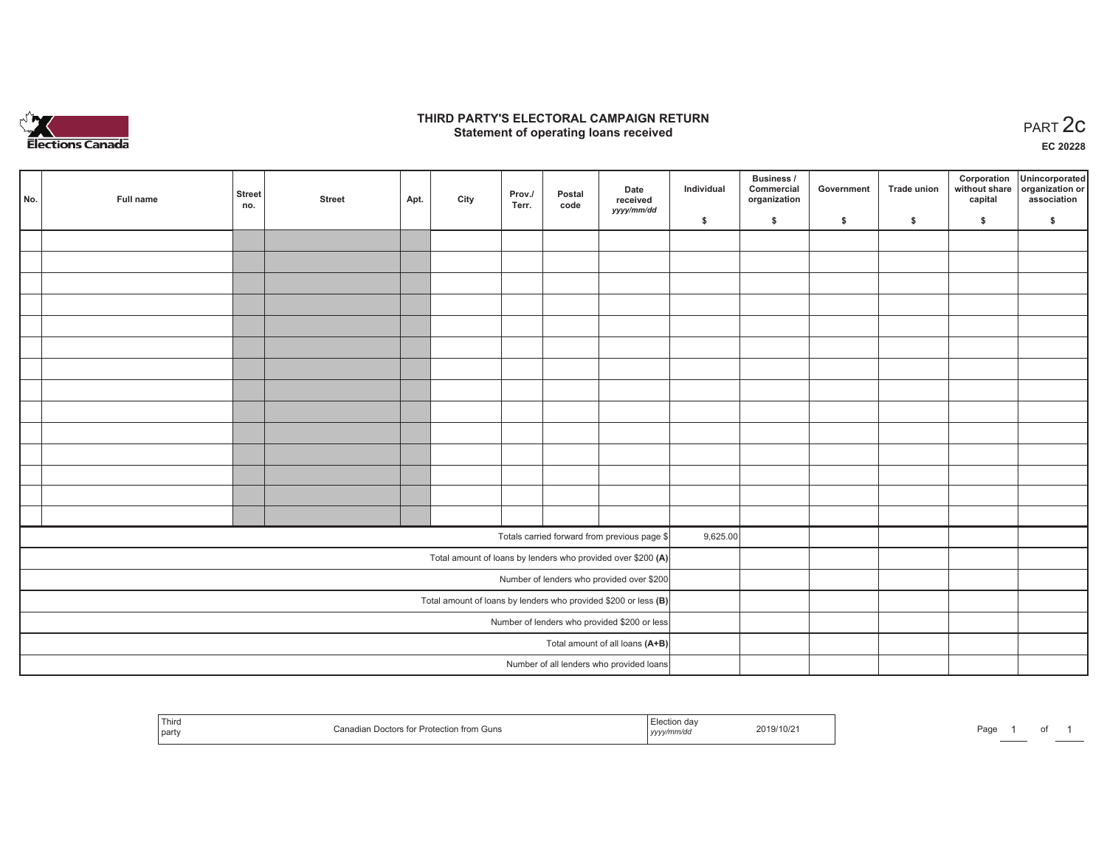

### **THIRD PARTY'S ELECTORAL CAMPAIGN RETURN STATE:** PARTY'S ELECTORAL CAMPAIGN RETURN<br>
Statement of operating loans received

**EC 20228**

|                                 | No.                                                             | Full name | <b>Street</b> | <b>Street</b> | Apt. | City | Prov./ | Postal | Date<br>received                                             | Individual | <b>Business /</b><br>Commercial<br>organization | Government | <b>Trade union</b> | Corporation<br>capital | Unincorporated<br>without share organization or<br>association |
|---------------------------------|-----------------------------------------------------------------|-----------|---------------|---------------|------|------|--------|--------|--------------------------------------------------------------|------------|-------------------------------------------------|------------|--------------------|------------------------|----------------------------------------------------------------|
|                                 |                                                                 |           | no.           |               |      |      | Terr.  | code   | yyyy/mm/dd                                                   | \$         | \$                                              | \$         | \$                 | \$                     | \$                                                             |
|                                 |                                                                 |           |               |               |      |      |        |        |                                                              |            |                                                 |            |                    |                        |                                                                |
|                                 |                                                                 |           |               |               |      |      |        |        |                                                              |            |                                                 |            |                    |                        |                                                                |
|                                 |                                                                 |           |               |               |      |      |        |        |                                                              |            |                                                 |            |                    |                        |                                                                |
|                                 |                                                                 |           |               |               |      |      |        |        |                                                              |            |                                                 |            |                    |                        |                                                                |
|                                 |                                                                 |           |               |               |      |      |        |        |                                                              |            |                                                 |            |                    |                        |                                                                |
|                                 |                                                                 |           |               |               |      |      |        |        |                                                              |            |                                                 |            |                    |                        |                                                                |
|                                 |                                                                 |           |               |               |      |      |        |        |                                                              |            |                                                 |            |                    |                        |                                                                |
|                                 |                                                                 |           |               |               |      |      |        |        |                                                              |            |                                                 |            |                    |                        |                                                                |
|                                 |                                                                 |           |               |               |      |      |        |        |                                                              |            |                                                 |            |                    |                        |                                                                |
|                                 |                                                                 |           |               |               |      |      |        |        |                                                              |            |                                                 |            |                    |                        |                                                                |
|                                 |                                                                 |           |               |               |      |      |        |        |                                                              |            |                                                 |            |                    |                        |                                                                |
|                                 |                                                                 |           |               |               |      |      |        |        |                                                              |            |                                                 |            |                    |                        |                                                                |
|                                 |                                                                 |           |               |               |      |      |        |        |                                                              |            |                                                 |            |                    |                        |                                                                |
|                                 |                                                                 |           |               |               |      |      |        |        |                                                              |            |                                                 |            |                    |                        |                                                                |
|                                 |                                                                 |           |               |               |      |      |        |        | Totals carried forward from previous page \$                 | 9,625.00   |                                                 |            |                    |                        |                                                                |
|                                 |                                                                 |           |               |               |      |      |        |        | Total amount of loans by lenders who provided over \$200 (A) |            |                                                 |            |                    |                        |                                                                |
|                                 |                                                                 |           |               |               |      |      |        |        | Number of lenders who provided over \$200                    |            |                                                 |            |                    |                        |                                                                |
|                                 | Total amount of loans by lenders who provided \$200 or less (B) |           |               |               |      |      |        |        |                                                              |            |                                                 |            |                    |                        |                                                                |
|                                 | Number of lenders who provided \$200 or less                    |           |               |               |      |      |        |        |                                                              |            |                                                 |            |                    |                        |                                                                |
| Total amount of all loans (A+B) |                                                                 |           |               |               |      |      |        |        |                                                              |            |                                                 |            |                    |                        |                                                                |
|                                 |                                                                 |           |               |               |      |      |        |        | Number of all lenders who provided loans                     |            |                                                 |            |                    |                        |                                                                |

| i nira<br>part | n Doctors for Protection from Guns. | $\cdots$<br>yyyy/mm/aa | 2019/10/21 | Page |  |  |  |
|----------------|-------------------------------------|------------------------|------------|------|--|--|--|
|----------------|-------------------------------------|------------------------|------------|------|--|--|--|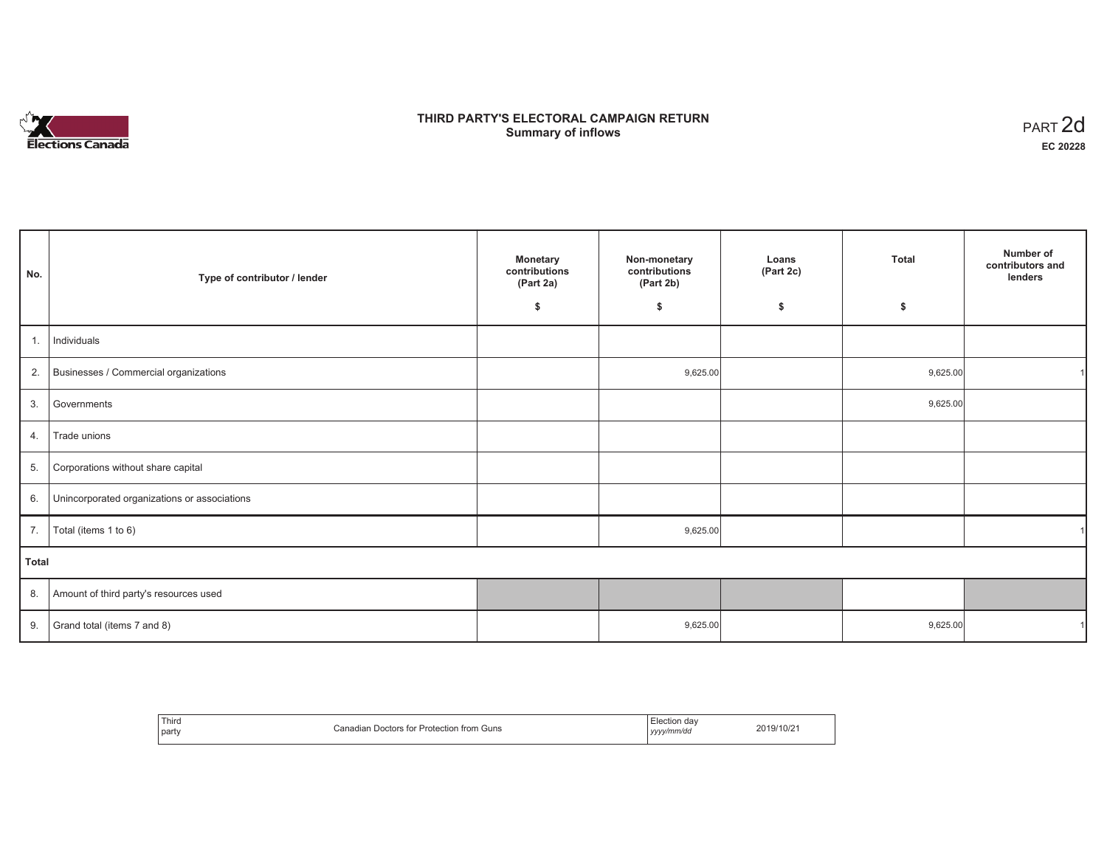# **Elections Canada**

# **THIRD PARTY'S ELECTORAL CAMPAIGN RETURN Summary of inflows**

| PART <sub>2d</sub> |
|--------------------|
| EC 20228           |

| No.   | Type of contributor / lender                 | <b>Monetary</b><br>contributions<br>(Part 2a) | Non-monetary<br>contributions<br>(Part 2b) | Loans<br>(Part 2c) | <b>Total</b> | Number of<br>contributors and<br>lenders |
|-------|----------------------------------------------|-----------------------------------------------|--------------------------------------------|--------------------|--------------|------------------------------------------|
|       |                                              | \$                                            | \$                                         | \$                 | \$           |                                          |
| 1.    | Individuals                                  |                                               |                                            |                    |              |                                          |
| 2.    | Businesses / Commercial organizations        |                                               | 9,625.00                                   |                    | 9,625.00     |                                          |
| 3.    | Governments                                  |                                               |                                            |                    | 9,625.00     |                                          |
| 4.    | Trade unions                                 |                                               |                                            |                    |              |                                          |
| 5.    | Corporations without share capital           |                                               |                                            |                    |              |                                          |
| 6.    | Unincorporated organizations or associations |                                               |                                            |                    |              |                                          |
| 7.    | Total (items 1 to 6)                         |                                               | 9,625.00                                   |                    |              |                                          |
| Total |                                              |                                               |                                            |                    |              |                                          |
| 8.    | Amount of third party's resources used       |                                               |                                            |                    |              |                                          |
| 9.    | Grand total (items 7 and 8)                  |                                               | 9,625.00                                   |                    | 9,625.00     |                                          |

| Third<br>party | ∟ Doctors for Protection from Guns<br>Canadian | Election dav<br>vyyy/mm/do<br><i>yyyy</i> | 2019/10/2 |
|----------------|------------------------------------------------|-------------------------------------------|-----------|
|----------------|------------------------------------------------|-------------------------------------------|-----------|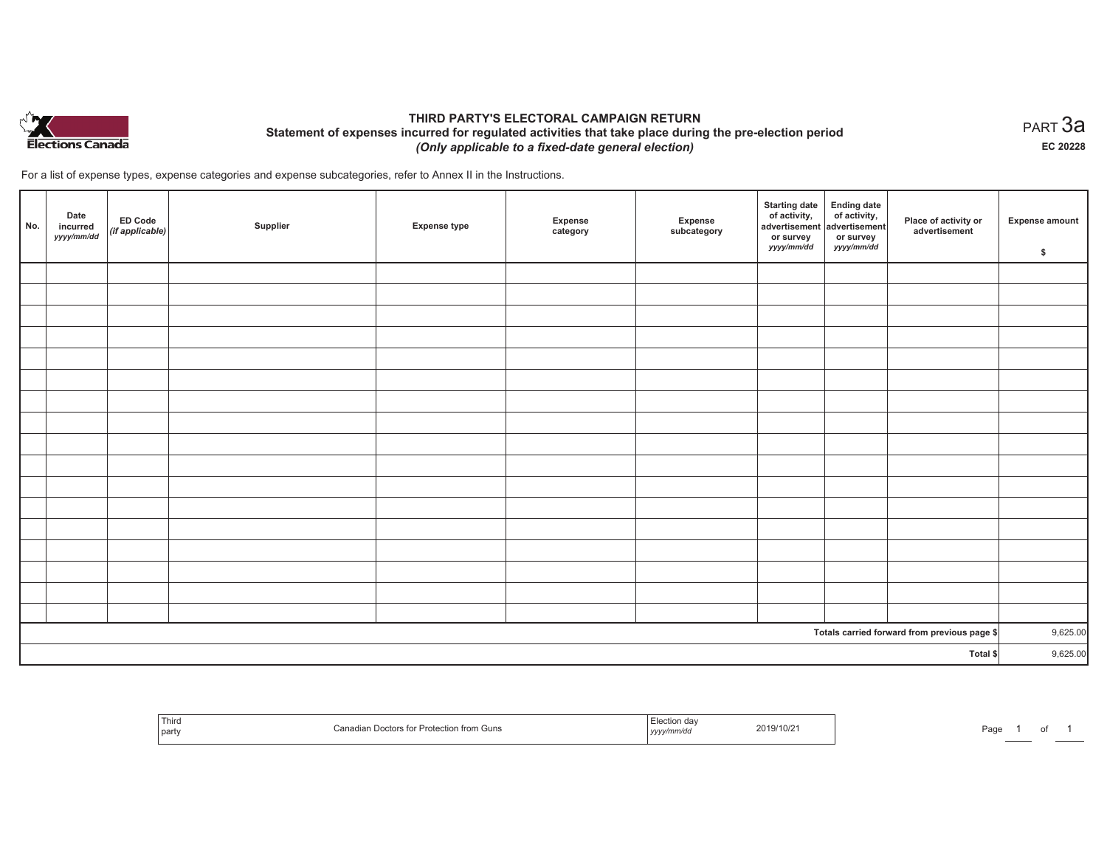

## **THIRD PARTY'S ELECTORAL CAMPAIGN RETURN Statement of expenses incurred for regulated activities that take place during the pre-election period**  *(Only applicable to a fixed-date general election)*

For a list of expense types, expense categories and expense subcategories, refer to Annex II in the Instructions.

| No.      | Date<br>incurred<br>yyyy/mm/dd | ED Code<br>$\left \left(\textit{if applicable}\right)\right $ | Supplier | <b>Expense type</b> | Expense<br>category | Expense<br>subcategory | <b>Starting date</b><br>of activity,<br>advertisement<br>or survey<br>yyyy/mm/dd | Ending date<br>of activity,<br>advertisement<br>or survey<br><i>yyyy/mm/dd</i> | Place of activity or<br>advertisement        | Expense amount<br>\$ |
|----------|--------------------------------|---------------------------------------------------------------|----------|---------------------|---------------------|------------------------|----------------------------------------------------------------------------------|--------------------------------------------------------------------------------|----------------------------------------------|----------------------|
|          |                                |                                                               |          |                     |                     |                        |                                                                                  |                                                                                |                                              |                      |
|          |                                |                                                               |          |                     |                     |                        |                                                                                  |                                                                                |                                              |                      |
|          |                                |                                                               |          |                     |                     |                        |                                                                                  |                                                                                |                                              |                      |
|          |                                |                                                               |          |                     |                     |                        |                                                                                  |                                                                                |                                              |                      |
|          |                                |                                                               |          |                     |                     |                        |                                                                                  |                                                                                |                                              |                      |
|          |                                |                                                               |          |                     |                     |                        |                                                                                  |                                                                                |                                              |                      |
|          |                                |                                                               |          |                     |                     |                        |                                                                                  |                                                                                |                                              |                      |
|          |                                |                                                               |          |                     |                     |                        |                                                                                  |                                                                                |                                              |                      |
|          |                                |                                                               |          |                     |                     |                        |                                                                                  |                                                                                |                                              |                      |
|          |                                |                                                               |          |                     |                     |                        |                                                                                  |                                                                                |                                              |                      |
|          |                                |                                                               |          |                     |                     |                        |                                                                                  |                                                                                |                                              |                      |
|          |                                |                                                               |          |                     |                     |                        |                                                                                  |                                                                                |                                              |                      |
|          |                                |                                                               |          |                     |                     |                        |                                                                                  |                                                                                |                                              |                      |
|          |                                |                                                               |          |                     |                     |                        |                                                                                  |                                                                                |                                              |                      |
|          |                                |                                                               |          |                     |                     |                        |                                                                                  |                                                                                |                                              |                      |
|          |                                |                                                               |          |                     |                     |                        |                                                                                  |                                                                                |                                              |                      |
|          |                                |                                                               |          |                     |                     |                        |                                                                                  |                                                                                |                                              |                      |
|          |                                |                                                               |          |                     |                     |                        |                                                                                  |                                                                                | Totals carried forward from previous page \$ | 9,625.00             |
| Total \$ |                                |                                                               |          |                     |                     |                        | 9,625.00                                                                         |                                                                                |                                              |                      |

| Thirc<br>' pan | tion from<br>uns וז' | , , , , , | 19/10/2 | ∽∼ב<br>'au |  |  |  |
|----------------|----------------------|-----------|---------|------------|--|--|--|
|----------------|----------------------|-----------|---------|------------|--|--|--|

 $_{\sf PART}$ 3a **EC 20228**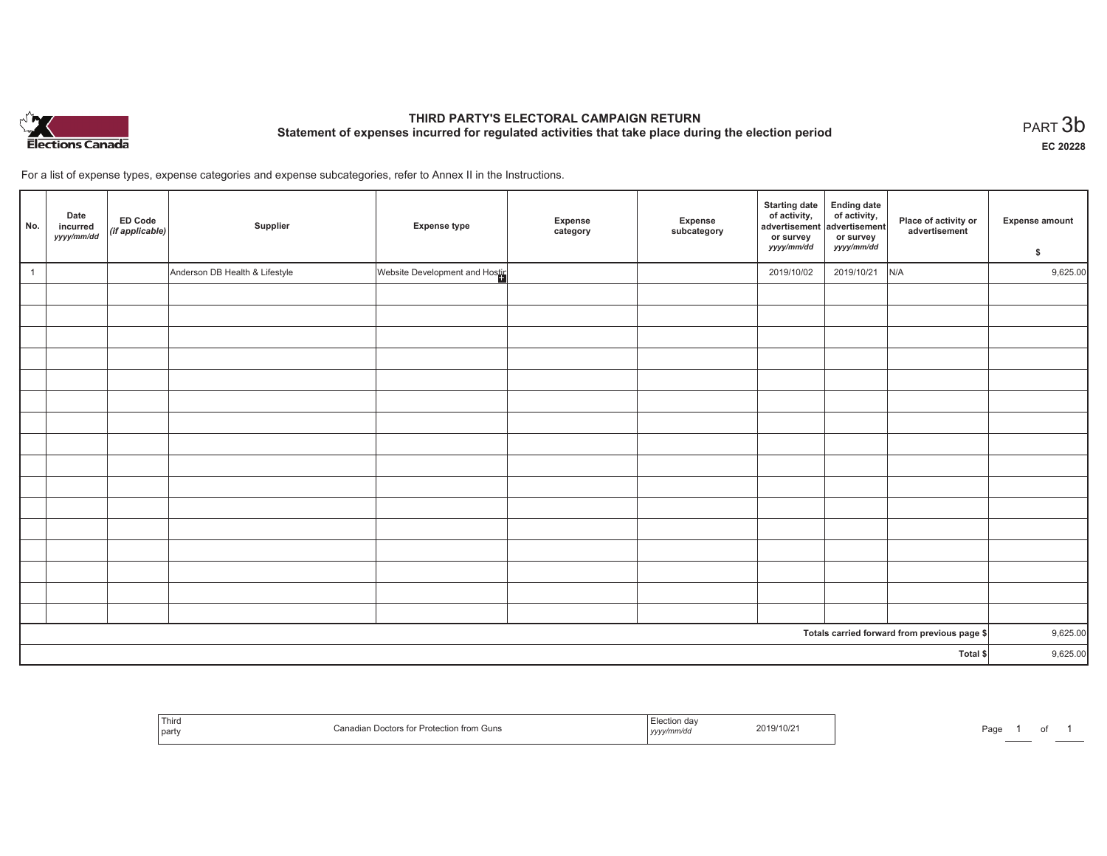

# **THIRD PARTY'S ELECTORAL CAMPAIGN RETURN Statement of expenses incurred for regulated activities that take place during the election period**<br>PART  $3\mathsf{b}$

**EC 20228**

For a list of expense types, expense categories and expense subcategories, refer to Annex II in the Instructions.

| No.            | Date<br>incurred<br>yyyy/mm/dd | <b>ED Code</b><br>(if applicable) | Supplier                       | <b>Expense type</b>            | Expense<br>category | Expense<br>subcategory | <b>Starting date</b><br>of activity,<br>advertisement<br>or survey<br>yyyy/mm/dd | Ending date<br>of activity,<br>advertisement<br>or survey<br>yyyy/mm/dd | Place of activity or<br>advertisement        | <b>Expense amount</b><br>\$ |
|----------------|--------------------------------|-----------------------------------|--------------------------------|--------------------------------|---------------------|------------------------|----------------------------------------------------------------------------------|-------------------------------------------------------------------------|----------------------------------------------|-----------------------------|
| $\overline{1}$ |                                |                                   | Anderson DB Health & Lifestyle | Website Development and Hostin |                     |                        | 2019/10/02                                                                       | 2019/10/21                                                              | N/A                                          | 9,625.00                    |
|                |                                |                                   |                                |                                |                     |                        |                                                                                  |                                                                         |                                              |                             |
|                |                                |                                   |                                |                                |                     |                        |                                                                                  |                                                                         |                                              |                             |
|                |                                |                                   |                                |                                |                     |                        |                                                                                  |                                                                         |                                              |                             |
|                |                                |                                   |                                |                                |                     |                        |                                                                                  |                                                                         |                                              |                             |
|                |                                |                                   |                                |                                |                     |                        |                                                                                  |                                                                         |                                              |                             |
|                |                                |                                   |                                |                                |                     |                        |                                                                                  |                                                                         |                                              |                             |
|                |                                |                                   |                                |                                |                     |                        |                                                                                  |                                                                         |                                              |                             |
|                |                                |                                   |                                |                                |                     |                        |                                                                                  |                                                                         |                                              |                             |
|                |                                |                                   |                                |                                |                     |                        |                                                                                  |                                                                         |                                              |                             |
|                |                                |                                   |                                |                                |                     |                        |                                                                                  |                                                                         |                                              |                             |
|                |                                |                                   |                                |                                |                     |                        |                                                                                  |                                                                         |                                              |                             |
|                |                                |                                   |                                |                                |                     |                        |                                                                                  |                                                                         |                                              |                             |
|                |                                |                                   |                                |                                |                     |                        |                                                                                  |                                                                         |                                              |                             |
|                |                                |                                   |                                |                                |                     |                        |                                                                                  |                                                                         |                                              |                             |
|                |                                |                                   |                                |                                |                     |                        |                                                                                  |                                                                         |                                              |                             |
|                |                                |                                   |                                |                                |                     |                        |                                                                                  |                                                                         |                                              |                             |
|                |                                |                                   |                                |                                |                     |                        |                                                                                  |                                                                         | Totals carried forward from previous page \$ | 9,625.00                    |
|                | Total \$                       |                                   |                                |                                |                     |                        |                                                                                  |                                                                         | 9,625.00                                     |                             |

| ' Thin<br>party | ≅ for Protection<br>າ from Guns<br>1 DOCTORS TOP<br>Ganduldi | 2019/10/2 <sup>.</sup><br>.<br>$1$ yyyy | ⊡∩∼<br>-ay |
|-----------------|--------------------------------------------------------------|-----------------------------------------|------------|
|-----------------|--------------------------------------------------------------|-----------------------------------------|------------|